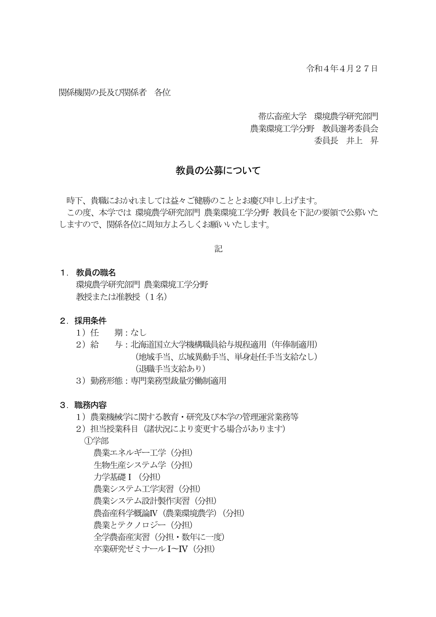### 関係機関の長及び関係者 各位

帯広畜産大学 環境農学研究部門 農業環境工学分野 教員選考委員会 委員長 井上 昇

## 教員の公募について

時下、貴職におかれましては益々ご健勝のこととお慶び申し上げます。 この度、本学では 環境農学研究部門 農業環境工学分野 教員を下記の要領で公募いた しますので、関係各位に周知方よろしくお願いいたします。

記

#### 1. 教員の職名

環境農学研究部門 農業環境工学分野 教授または准教授 (1名)

### 2. 採用条件

- 1)任 期:なし
- 2)給 与:北海道国立大学機構職員給与規程適用(年俸制適用) (地域手当、広域異動手当、単身赴任手当支給なし) (退職手当支給あり)
- 3)勤務形態:専門業務型裁量労働制適用

#### 3. 職務内容

- 1)農業機械学に関する教育・研究及び本学の管理運営業務等
- 2)担当授業科目(諸状況により変更する場合があります)

①学部

農業エネルギー工学 (分担) 生物生産システム学(分担) 力学基礎 I (分担) 農業システム工学実習 (分担) 農業システム設計製作実習 (分担) 農畜産科学概論Ⅳ(農業環境農学)(分担) 農業とテクノロジー (分担) 全学農畜産実習(分担・数年に一度) 卒業研究ゼミナールI〜IV(分担)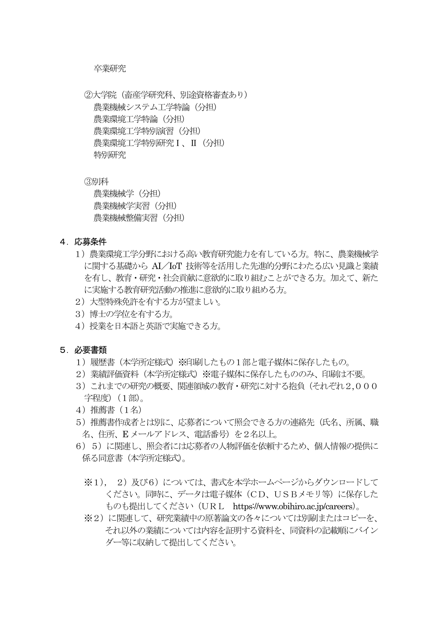### 卒業研究

②大学院(畜産学研究科、別途資格審査あり) 農業機械システム工学特論(分担) 農業環境工学特論(分担) 農業環境工学特別演習(分担) 農業環境工学特別研究Ⅰ、Ⅱ(分担) 特別研究

③別科

農業機械学(分担) 農業機械学実習(分担) 農業機械整備実習(分担)

- 4.応募条件
	- 1)農業環境工学分野における高い教育研究能力を有している方。特に、農業機械学 に関する基礎から AI/IoT 技術等を活用した先進的分野にわたる広い見識と業績 を有し、教育・研究・社会貢献に意欲的に取り組むことができる方。加えて、新た に実施する教育研究活動の推進に意欲的に取り組める方。
	- 2)大型特殊免許を有する方が望ましい。
	- 3) 博士の学位を有する方。
	- 4)授業を日本語と英語で実施できる方。

### 5.必要書類

- 1)履歴書(本学所定様式)※印刷したもの1部と電子媒体に保存したもの。
- 2) 業績評価資料 (本学所定様式) ※電子媒体に保存したもののみ、印刷は不要。
- 3) これまでの研究の概要、関連領域の教育・研究に対する抱負(それぞれ2,000 字程度) (1部)。
- 4)推薦書(1名)
- 5)推薦書作成者とは別に、応募者について照会できる方の連絡先(氏名、所属、職 名、住所、E メールアドレス、雷話番号)を2名以上。
- 6)5)に関連し、照会者には応募者の人物評価を依頼するため、個人情報の提供に 係る同意書(本学所定様式)。
	- ※1), 2)及び6)については、書式を本学ホームページからダウンロードして ください。同時に、データは電子媒体(CD、USBメモリ等)に保存した ものも提出してください(URL https://www.obihiro.ac.jp/careers)。
	- ※2)に関連して、研究業績中の原著論文の各々については別刷またはコピーを、 それ以外の業績については内容を証明する資料を、同資料の記載順にバイン ダー等に収納して提出してください。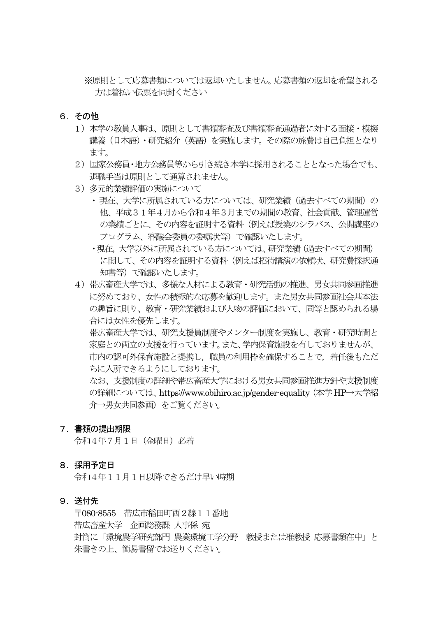※原則として応募書類については返却いたしません。応募書類の返却を希望される 方は着払い伝票を同封ください

### 6.その他

- 1)本学の教員人事は、原則として書類審査及び書類審査通過者に対する面接・模擬 講義(日本語)・研究紹介(英語)を実施します。その際の旅費は自己負担となり ます。
- 2)国家公務員・地方公務員等から引き続き本学に採用されることとなった場合でも、 退職手当は原則として通算されません。
- 3)多元的業績評価の実施について
	- ・現在、大学に所属されている方については、研究業績(過去すべての期間)の 他、平成31年4月から令和4年3月までの期間の教育、社会貢献、管理運営 の業績ごとに、その内容を証明する資料(例えば授業のシラバス、公開講座の プログラム、審議会委員の委嘱状等)で確認いたします。
	- ・現在,大学以外に所属されている方については、研究業績(過去すべての期間) に関して、その内容を証明する資料(例えば招待講演の依頼状、研究費採択通 知書等)で確認いたします。
- 4)帯広畜産大学では、多様な人材による教育・研究活動の推進、男女共同参画推進 に努めており、女性の積極的な応募を歓迎します。また男女共同参画社会基本法 の趣旨に則り、教育・研究業績および人物の評価において、同等と認められる場 合には女性を優先します。

帯広畜産大学では、研究支援員制度やメンター制度を実施し、教育・研究時間と 家庭との両立の支援を行っています。また、学内保育施設を有しておりませんが、 市内の認可外保育施設と提携し、職員の利用枠を確保することで、着任後もただ ちに入所できるようにしております。

なお、支援制度の詳細や帯広畜産大学における男女共同参画推進方針や支援制度 の詳細については、https://www.obihiro.ac.jp/gender-equality (本学 HP→大学紹 介→男女共同参画)をご覧ください。

### 7.書類の提出期限

令和4年7月1日(金曜日)必着

### 8. 採用予定日

令和4年11月1日以降できるだけ早い時期

## 9.送付先

〒080-8555 帯広市稲田町西2線11番地 帯広畜産大学 企画総務課 人事係 宛 封筒に「環境農学研究部門 農業環境工学分野 教授または准教授 応募書類在中」と 朱書きの上、簡易書留でお送りください。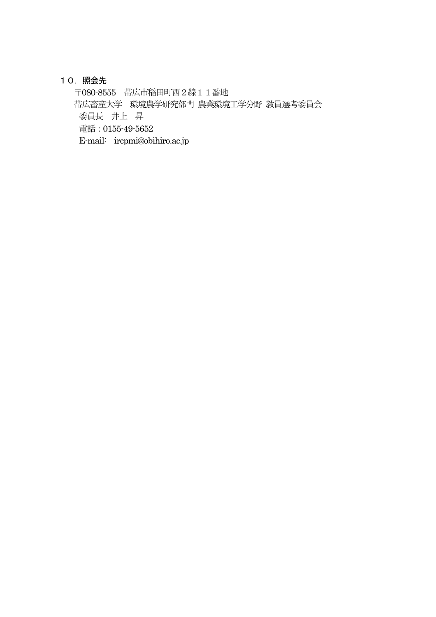# 10.照会先

〒080-8555 帯広市稲田町西2線11番地 帯広畜産大学 環境農学研究部門 農業環境工学分野 教員選考委員会 委員長 井上 昇 電話:0155-49-5652 E-mail: ircpmi@obihiro.ac.jp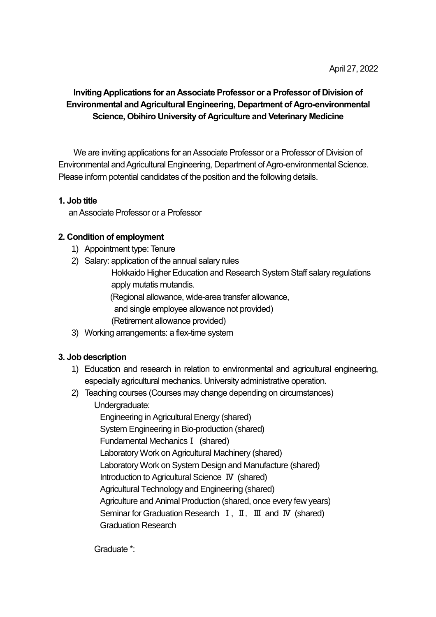# **Inviting Applications for an Associate Professor or a Professor of Division of Environmental and Agricultural Engineering, Department of Agro-environmental Science, Obihiro University of Agriculture and Veterinary Medicine**

We are inviting applications for an Associate Professor or a Professor of Division of Environmental and Agricultural Engineering, Department of Agro-environmental Science. Please inform potential candidates of the position and the following details.

# **1. Job title**

an Associate Professor or a Professor

# **2. Condition of employment**

- 1) Appointment type: Tenure
- 2) Salary: application of the annual salary rules

 Hokkaido Higher Education and Research System Staff salary regulations apply mutatis mutandis.

(Regional allowance, wide-area transfer allowance,

and single employee allowance not provided)

(Retirement allowance provided)

3) Working arrangements: a flex-time system

# **3. Job description**

- 1) Education and research in relation to environmental and agricultural engineering, especially agricultural mechanics. University administrative operation.
- 2) Teaching courses (Courses may change depending on circumstances) Undergraduate:

Engineering in Agricultural Energy (shared) System Engineering in Bio-production (shared) Fundamental MechanicsⅠ (shared) Laboratory Work on Agricultural Machinery (shared) Laboratory Work on System Design and Manufacture (shared) Introduction to Agricultural Science Ⅳ (shared) Agricultural Technology and Engineering (shared) Agriculture and Animal Production (shared, once every few years) Seminar for Graduation Research Ⅰ, Ⅱ, Ⅲ and Ⅳ (shared) Graduation Research

Graduate \*: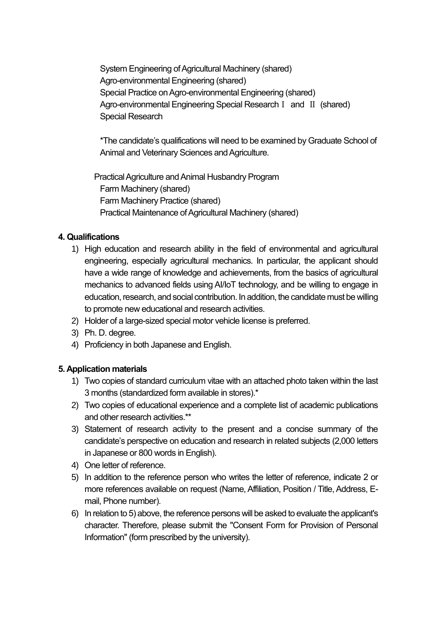System Engineering of Agricultural Machinery (shared) Agro-environmental Engineering (shared) Special Practice on Agro-environmental Engineering (shared) Agro-environmental Engineering Special ResearchⅠ and Ⅱ (shared) Special Research

\*The candidate's qualifications will need to be examined by Graduate School of Animal and Veterinary Sciences and Agriculture.

Practical Agriculture and Animal Husbandry Program Farm Machinery (shared) Farm Machinery Practice (shared) Practical Maintenance of Agricultural Machinery (shared)

# **4. Qualifications**

- 1) High education and research ability in the field of environmental and agricultural engineering, especially agricultural mechanics. In particular, the applicant should have a wide range of knowledge and achievements, from the basics of agricultural mechanics to advanced fields using AI/IoT technology, and be willing to engage in education, research, and social contribution. In addition, the candidate must be willing to promote new educational and research activities.
- 2) Holder of a large-sized special motor vehicle license is preferred.
- 3) Ph. D. degree.
- 4) Proficiency in both Japanese and English.

# **5. Application materials**

- 1) Two copies of standard curriculum vitae with an attached photo taken within the last 3 months (standardized form available in stores).\*
- 2) Two copies of educational experience and a complete list of academic publications and other research activities.\*\*
- 3) Statement of research activity to the present and a concise summary of the candidate's perspective on education and research in related subjects (2,000 letters in Japanese or 800 words in English).
- 4) One letter of reference.
- 5) In addition to the reference person who writes the letter of reference, indicate 2 or more references available on request (Name, Affiliation, Position / Title, Address, Email, Phone number).
- 6) In relation to 5) above, the reference persons will be asked to evaluate the applicant's character. Therefore, please submit the "Consent Form for Provision of Personal Information" (form prescribed by the university).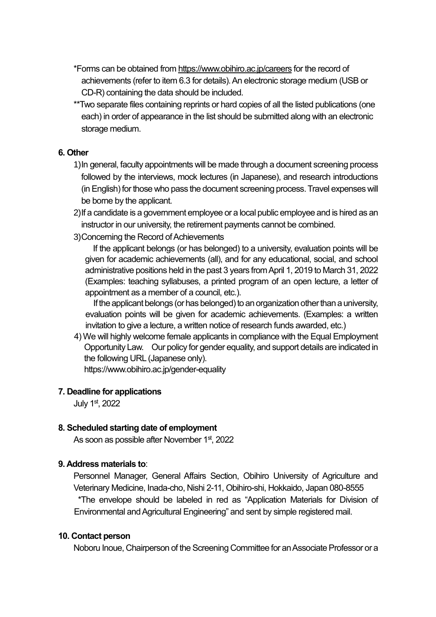\*Forms can be obtained from https://www.obihiro.ac.jp/careers for the record of achievements (refer to item 6.3 for details). An electronic storage medium (USB or CD-R) containing the data should be included.

\*\*Two separate files containing reprints or hard copies of all the listed publications (one each) in order of appearance in the list should be submitted along with an electronic storage medium.

## **6. Other**

- 1)In general, faculty appointments will be made through a document screening process followed by the interviews, mock lectures (in Japanese), and research introductions (in English) for those who pass the document screening process. Travel expenses will be borne by the applicant.
- 2)If a candidate is a government employee or a local public employee and is hired as an instructor in our university, the retirement payments cannot be combined.
- 3)Concerning the Record of Achievements

If the applicant belongs (or has belonged) to a university, evaluation points will be given for academic achievements (all), and for any educational, social, and school administrative positions held in the past 3 years from April 1, 2019 to March 31, 2022 (Examples: teaching syllabuses, a printed program of an open lecture, a letter of appointment as a member of a council, etc.).

If the applicant belongs (or has belonged) to an organization other than a university, evaluation points will be given for academic achievements. (Examples: a written invitation to give a lecture, a written notice of research funds awarded, etc.)

4)We will highly welcome female applicants in compliance with the Equal Employment Opportunity Law. Our policy for gender equality, and support details are indicated in the following URL (Japanese only).

https://www.obihiro.ac.jp/gender-equality

## **7. Deadline for applications**

July 1<sup>st</sup>, 2022

## **8. Scheduled starting date of employment**

As soon as possible after November 1st, 2022

### **9. Address materials to**:

Personnel Manager, General Affairs Section, Obihiro University of Agriculture and Veterinary Medicine, Inada-cho, Nishi 2-11, Obihiro-shi, Hokkaido, Japan 080-8555 \*The envelope should be labeled in red as "Application Materials for Division of Environmental and Agricultural Engineering" and sent by simple registered mail.

### **10. Contact person**

Noboru Inoue, Chairperson of the Screening Committee for an Associate Professor or a